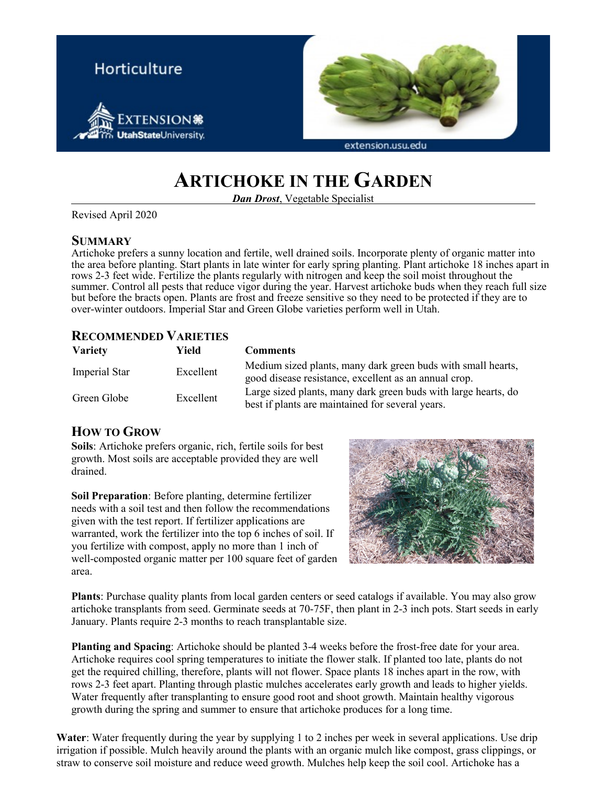

# **ARTICHOKE IN THE GARDEN**

*Dan Drost*, Vegetable Specialist

Revised April 2020

#### **SUMMARY**

Artichoke prefers a sunny location and fertile, well drained soils. Incorporate plenty of organic matter into the area before planting. Start plants in late winter for early spring planting. Plant artichoke 18 inches apart in rows 2-3 feet wide. Fertilize the plants regularly with nitrogen and keep the soil moist throughout the summer. Control all pests that reduce vigor during the year. Harvest artichoke buds when they reach full size but before the bracts open. Plants are frost and freeze sensitive so they need to be protected if they are to over-winter outdoors. Imperial Star and Green Globe varieties perform well in Utah.

#### **RECOMMENDED VARIETIES**

| <b>Variety</b> | Yield     | <b>Comments</b>                                                                                                       |
|----------------|-----------|-----------------------------------------------------------------------------------------------------------------------|
| Imperial Star  | Excellent | Medium sized plants, many dark green buds with small hearts,<br>good disease resistance, excellent as an annual crop. |
| Green Globe    | Excellent | Large sized plants, many dark green buds with large hearts, do<br>best if plants are maintained for several years.    |

## **HOW TO GROW**

**Soils**: Artichoke prefers organic, rich, fertile soils for best growth. Most soils are acceptable provided they are well drained.

**Soil Preparation**: Before planting, determine fertilizer needs with a soil test and then follow the recommendations given with the test report. If fertilizer applications are warranted, work the fertilizer into the top 6 inches of soil. If you fertilize with compost, apply no more than 1 inch of well-composted organic matter per 100 square feet of garden area.



**Plants**: Purchase quality plants from local garden centers or seed catalogs if available. You may also grow artichoke transplants from seed. Germinate seeds at 70-75F, then plant in 2-3 inch pots. Start seeds in early January. Plants require 2-3 months to reach transplantable size.

**Planting and Spacing**: Artichoke should be planted 3-4 weeks before the frost-free date for your area. Artichoke requires cool spring temperatures to initiate the flower stalk. If planted too late, plants do not get the required chilling, therefore, plants will not flower. Space plants 18 inches apart in the row, with rows 2-3 feet apart. Planting through plastic mulches accelerates early growth and leads to higher yields. Water frequently after transplanting to ensure good root and shoot growth. Maintain healthy vigorous growth during the spring and summer to ensure that artichoke produces for a long time.

**Water**: Water frequently during the year by supplying 1 to 2 inches per week in several applications. Use drip irrigation if possible. Mulch heavily around the plants with an organic mulch like compost, grass clippings, or straw to conserve soil moisture and reduce weed growth. Mulches help keep the soil cool. Artichoke has a